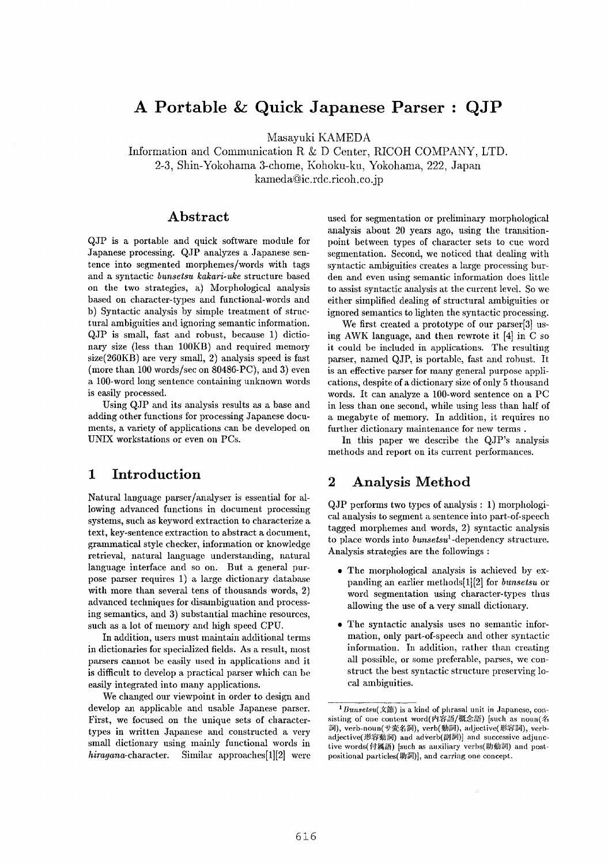# **A Portable & Quick Japanese Parser : QJP**

Masayuki KAMEDA

Information and Communication R &: D Center, RICOH COMPANY, LTD. 2-3, Shin-Yokohama 3-chome, Kohoku-ku, Yokohama, 222, Japan kameda@ic.rdc.ricoh.co.jp

# **Abstract**

QJP is a portable and quick softwaxe module for Japanese processing. QJP analyzes a Japanese sentence into segmented morphemes/words with tags and a syntactic *bunsetsu kakari-uke* structure based on the two strategies, a) Morphological analysis based on character-types and functional-words and b) Syntactic analysis by simple treatment of structural ambiguities and ignoring semantic information. QJP is small, fast and robust, because 1) dictionary size (less than 100KB) and required memory size(260KB) are very small, 2) analysis speed is fast (more than 100 words/see on 80486-PC), and 3) even a 100-word long sentence containing unknown words is easily processed.

Using QJP and its analysis results as a base and adding other functions for processing Japanese documents, a variety of applications can be developed on UNIX workstations or even on PCs.

# **1 Introduction**

Natural language parser/analyser is essential for allowing advanced functions in document processing systems, such as keyword extraction to characterize a text, key-sentence extraction to abstract a document, grammatiea] style checker, information or knowledge retrieval, natural language understanding, natural language interface and so on. But a general purpose parser requires 1) a laxge dictionary database with more than several tens of thousands words, 2) advanced techniques for disambiguation and processing semantics, and 3) substantial machine resources, such as a lot of memory and high speed CPU.

In addition, users must maintain additional terms in dictionaxies for specialized fields. As a result, most parsers cannot be easily used in applications and it is difficult to develop a practical parser which can be easily integrated into many applications.

We changed our viewpoint in order to design and develop aal applicable and usable Japanese parser. First, we focused on the unique sets of charactertypes in written Japanese and constructed a very small dictionary using mainly functional words in *hiragana-character.* Similar approaches[1][2] were used for segmentation or preliminary morphological analysis about 20 years ago, using the transitionpoint between types of ehaxaeter sets to cue word segmentation. Second, we noticed that dealing with syntactic ambiguities creates a large processing burden and even using semantic information does little to assist syntactic analysis at the current level. So we either simplified dealing of structural ambiguities or ignored semantics to lighten the syntactic processing.

We first created a prototype of our parser[3] using AWK language, and then rewrote it [4] in C so it could be included in applications. The resulting parser, named QJP, is portable, fast and robust. It is an effective parser for many general purpose applications, despite of a dictionary size of only 5 thousand words. It can analyze a 100-word sentence on a PC in less than one second, while using less than half of a megabyte of memory. In addition, it requires no further dictionary maintenance for new terms.

In this paper we describe the QJP's analysis methods and report on its current performances.

# **2** Analysis Method

QJP performs two types of analysis : 1) morphological analysis to segment a sentence into part-of-speech tagged morphemes and words, 2) syntactic analysis to place words into *bunsetsu*<sup>1</sup>-dependency structure. Analysis strategies are the followings :

- The morphological analysis is achieved by expanding an earlier methods[1][2] for *bunsetsu* or word segmentation using character-types thus allowing the use of a very small dictionary.
- The syntactic analysis uses no semantic information, only part-of-speech and other syntactic information. In addition, rather than creating all possible, or some preferable, parses, we construct the best syntactic structure preserving local ambiguities.

 $1$ *Bunsetsu*( $\hat{\chi}$   $\hat{m}$ ) is a kind of phrasal unit in Japanese, consisting of one content word(内容語/概念語) [such as noun(名 詞), verb-noun(サ変名詞), verb(動詞), adjective(形容詞), verbadjective(形容動詞) and adverb(副詞)] and successive adjunctive words(付属語) [such as auxiliary verbs(助動詞) and postpositional particles(助詞)], and carring one concept.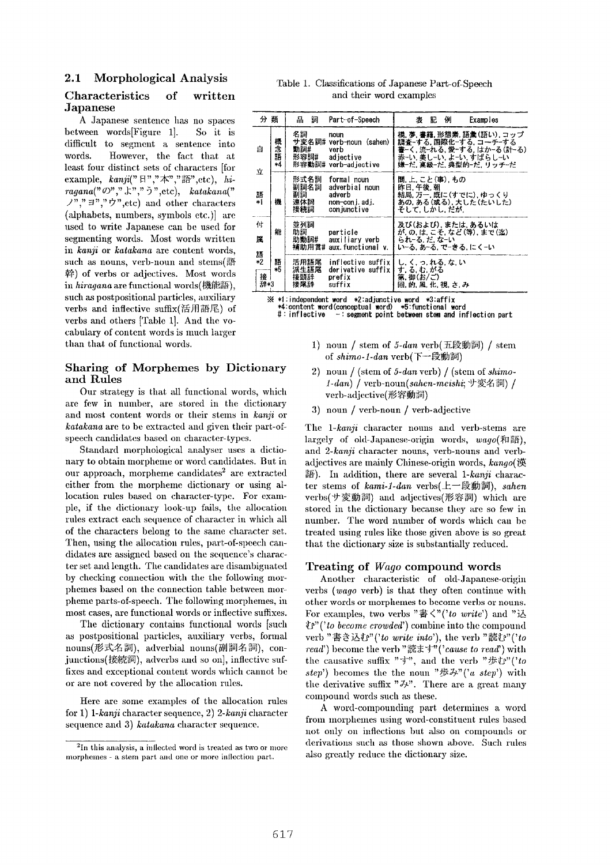# **2.1 Morphological Analysis**

# **Characteristics of written**  Japanese

A Japanese sentence has no spaces between words[Figure 1]. So it is difficult to segment a sentence into words. However, the fact that at least four distinct sets of characters [for  $\mathrm{example}, \; \; \mathit{kanji}(" \; \mathbb{H}\; \text{''}, \text{$\mathcal{F}$''}, \text{''} \; \text{''}'' \text{''}, \mathrm{etc})$  $\mathit{ragana}(" \mathcal{O}"", "\rhd", "\tilde{\mathcal{O}}", \mathrm{etc}), \quad \mathit{katakana}("$  $($ ,"," $\exists$ "," $\forall$ ",etc) and other characters (alphabets, numbers, symbols etc.)] are used to write Japanese can be used for segmenting words. Most words written *in kanji* or *katakana* are content words, such as nouns, verb-noun and stems $(\mathbb{H})$ 幹) of verbs or adjectives. Most words in hiragana are functional words(機能語), such as postpositional particles, auxiliary verbs and inflective suffix(活用語尾) of verbs and others [Table 1]. And the vocabulary of content words is much larger than that of functional words.

# Sharing of Morphemes by Dictionary and Rules

Our strategy is that all functional words, which are few in number, are stored in the dictionary and most content words or their stems in *kanji* or *katakana* are to be extracted and given their part-ofspeech candidates based on character-types.

Standard morphological analyser uses a dictionary to obtain morpheme or word candidates. But in our approach, morpheme candidates<sup>2</sup> are extracted either from the morpheme dictionary or using allocation rules based on character-type. For exampie, if the dictionary look-up fails, the allocation rules extract each sequence of character in which all of the characters belong to the same character set. Then, using the allocation rules, part-of-speech candidates are assigned based on the sequence's character set and length. The candidates are disambiguated by checking connection with the the following morphemes based on the connection table between morpheme parts-of-speech. The following morphemes, in most cases, are functional words or inflective suffixes.

The dictionary contains functional words [such as postpositional particles, auxilim'y verbs, formal nouns(形式名詞), adverbial nouns(副詞名詞), conjunctions(接続詞), adverbs and so on], inflective suffixes and exceptional content words which cannot be or axe not covered by the allocation rules.

Here are some examples of the allocation rules for 1) *1-kanji* character sequence, 2) *2-kanfi* character sequence and 3) *katakana* character sequence.

Table 1. Classifications of Japanese Part-of-Speech and their word examples

| 分 類                                                                            |           | 品<br>詞                           | Part-of-Speech                                                               | 例<br>表<br>ĩC.<br>Examples                                                                                                    |
|--------------------------------------------------------------------------------|-----------|----------------------------------|------------------------------------------------------------------------------|------------------------------------------------------------------------------------------------------------------------------|
| 自<br>立                                                                         | 概念語<br>*4 | 名詞<br>動詞#<br>形容詞#                | noun<br>サ変名詞# verb-noun (sahen)<br>verb<br>adiective<br>形容動詞# verb-adjective | 橋 夢 書籍 形態素 語彙(語い) コップ<br>調査-する. 国際化-する. コーチ-する<br>書−く. 流−れる. 愛−する. はか−る(計−る)<br>赤ーい 美しーい よーい すばらしーい<br>嫌ーだ.高級ーだ.典型的ーだ. リッチーだ |
| 語*1                                                                            | 欆         | 形式名詞<br>副詞名詞<br>副詞<br>連体詞<br>接続詞 | formal noun<br>adverbial noun<br>adverb<br>non-con i. ad i.<br>con juncti ve | 間, 上, こと(事), もの<br>昨日,午後,朝<br>結局, 万一, 既に(すでに), ゆっくり<br>あの,ある(或る),大した(たいした)<br>そして. しかし. だが.                                  |
| 付<br>屟                                                                         | 能         | 並列詞<br>助詞<br>助動詞#                | particle<br>auxiliary verb<br>補助用言# aux.functional v.                        | 及び(および), または, あるいは<br>が, の, は, こそ, など (等) , まで(迄)<br>られ‐る.だ.な‐い<br>いーる. あーる. でーきる. にくーい                                      |
| 語<br>*2<br>接<br>辞*3                                                            | 語<br>*5   | 活用語尾<br>派生語尾<br>接頭辞<br>接尾辞       | inflective suffix<br>dərivativə suffix<br>prefix<br>suffix                   | し, く, っ, れる, な, い<br>す. る. む. がる<br>第. 御(お/ご)<br>回, 的, 風, 化, 視, さ, み                                                         |
| $\mathbb{X}$ $\ast$ 1 independent word $\ast$ 2 adjunctive word $\ast$ 3 affix |           |                                  |                                                                              |                                                                                                                              |

**• ~ \*l:indeloendent word \*Z:adjunctive word \*3:affix • 4:content word(conceptual word) \*5:functional word #:inflective -: select point between stem and infleution part** 

- 1) noun / stem of 5-dan verb(五段動詞) / stem of *shimo-1-dan* verb(下一段動詞)
- 2) noun / (stem of 5-dan verb) / (stem of *shimo-*1-dan) / verb-noun(sahen-meishi; サ変名詞) / verb-adjective(形容動詞)
- 3) noun / verb-noun / verb-adjective

The *1-kanji* character nouns and verb-stems are largely of old-Japanese-origin words, wago(和語), *and 2-kanji* character nouns, verb-nouns and verbadjectives are mainly Chinese-origin words,  $\textit{kango}(\,)$ 漢 語). In addition, there are several 1-kanji character stems of *kami-1-dan* verbs(上一段動詞), *sahen* verbs(サ変動詞) and adjectives(形容詞) which are stored in the dictionary because they are so few in number. The word number of words which can be treated using rules like those given above is so great that the dictionary size is substantially reduced.

# Treating of *Wage* compound words

Another characteristic of old-Japanese-origin verbs *(wage* verb) is that they often continue with other words or morphemes to become verbs or nouns. For examples, two verbs  $"\# \langle "('to \ write")$  and " $\vee$ ~e" *('to become crowded')* combine into the compound verb "書き込む"('to write into'), the verb "読む"('to *read')* become the verb *"~i"'(' cause to read')* with the causative suffix " $\overrightarrow{y}$ ", and the verb " $\overrightarrow{y}$ U" ('to  $step'$  becomes the the noun "歩み"('a step') with the derivative suffix " $\ddot{\theta}$ ". There are a great many compound words such as these.

A word-compounding part determines a word from morphemes using word-constituent rules based not only on inflections but also on compounds or derivations such as those shown above. Such rules also greatly reduce the dictionary size.

 $2$ In this analysis, a inflected word is treated as two or more morphemes - a stem part and one or more inflection part.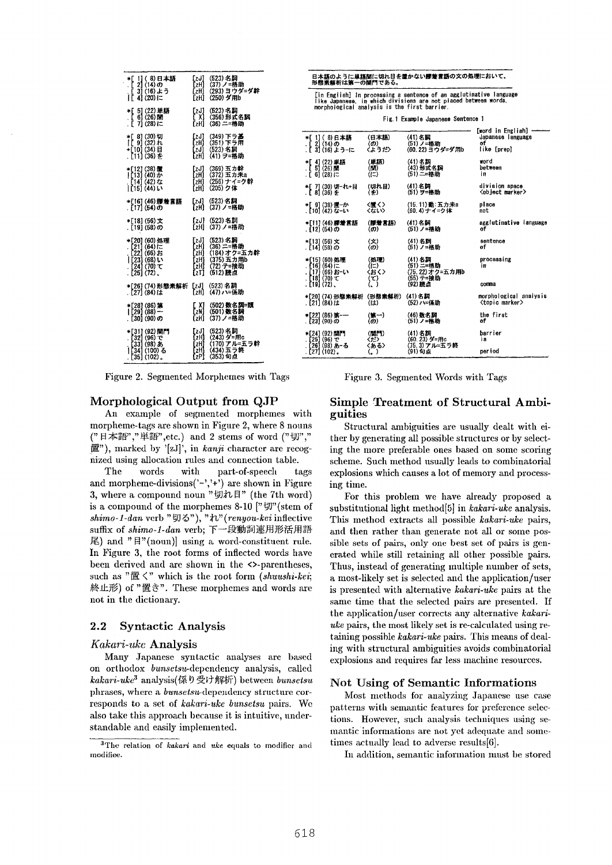| . C | Ïľ | 4] (20) [=                                                                          | *[ 1](8)日本語<br>[ 2] (14)の<br>3] (16) よう                                          | [zJ]<br>[zH]<br>[zH]<br>[zH]                    | (523)名詞<br>(37) ノ=格助<br>(293) ヨウダ=ダ幹<br>(250) ダ用b                           |
|-----|----|-------------------------------------------------------------------------------------|----------------------------------------------------------------------------------|-------------------------------------------------|-----------------------------------------------------------------------------|
|     | жE | $[6]$ (26) [11]<br>.[ 7] (28)に                                                      | 5] (22) 里語                                                                       | [zJ]<br>{ X1<br>f zH1                           | (523) 名詞<br>(356)形式名詞<br>(36) 二=格助                                          |
|     |    | *[ 8] (30) 切<br> [ 9] (32)れ<br>+[10] (34) 目<br>. [11] (36) を                        |                                                                                  | [zJ]<br>[zH]<br>[zJ]<br>[zH]                    | (349) 下ラ基<br>(351) 下ラ用<br>(523)名詞<br>(41) ヲ=格助                              |
|     |    | *[12] (38) 置<br> 【13】 (40) か<br>. [14] (42) な<br> [15] (44) い                       |                                                                                  | [zH]<br>[zH]<br>[zH]                            | [zJ] (369) 五力幹<br>(372) 五力未a<br>(256) ナイ=ク幹<br>(205) ク体                     |
|     |    | . [17] (54)の                                                                        | *[16] (46) 膠着賞語                                                                  |                                                 | [zJ] (523)名詞<br>『zH】 (37) ノ=格助:                                             |
|     |    | . [19] (58)の                                                                        | *[18] (56)文                                                                      | [zJ]                                            | (523)名詞<br>「zH1 (37)ノ=格助                                                    |
|     |    | . [21] (64) (=<br>. [22] (66) お<br>  [23] (68) い<br>. [24] (70) て<br>$. [251(72)$ . | *[20] (60) 処理                                                                    | [zJ]<br>[zH]<br>[zH]<br>f zHI<br>[zH]<br>EzTI - | (523) 名詞<br>(36) 二=格助<br>(184)オク=五カ幹<br>(375) 五力用b<br>(72) テ=接助<br>(512) 読点 |
|     |    | . [27] (84) i‡                                                                      | *[26] (74) 形態素解析                                                                 | [zJ] ∴                                          | (523)名詞<br>「zH1 (47)ハ=係助                                                    |
|     |    | . [30] (90)の                                                                        | *[28] (86) 第<br>(88) —                                                           | [ X]<br>[zN]<br>[zH]                            | (502) 数名詞=頭<br>(501)数名詞<br>(37) ノ=格助                                        |
|     |    |                                                                                     | *[31] (92) 関門<br>[32] (96) で<br>. [33] (98) නි<br> [34] (100) කි<br>[35] (102) 。 | [zJ]<br>[zH]<br>[zH]<br>EzHI<br>[zP]            | (523) 名詞<br>(243) ダ≍用c<br>(170) アル=五ラ幹<br>(434) 五ラ終<br>(353)句点              |

Figure 2. Segmented Morphemes with Tags Figure 3. Segmented Words with Tags

### Morphological Output from QJP

An example of segmented morphemes with morpheme-tags are shown in Figure 2, where 8 nouns (" 日本語"," 単語", etc.) and 2 stems of word ("切"," 置"), marked by '[zJ]', in kanji character are recognized using allocation rules and connection table.

The words with part-of-speed, tags and morpheme-divisions('-','+') are shown in Figure 3, where a compound noun " $\overline{u}$ th H" (the 7th word) is a compound of the morphemes 8-10  $[$ " $\sharp$   $\sharp$ " $($ stem of *shimo- l-dan* verb *" ~)J ~ " ), " ~%" ( renyou-kei* inflective suffix of *shimo-1-dan* verb; 下一段動詞連用形活用語 尾) and " $\mathbb{F}$ "(noun)] using a word-constituent rule. In Figure 3, the root forms of inflected words have been derived and are shown in the <>-parentheses, such as "置く" which is the root form *(shuushi-kei*; 終止形) of "置き". These morphemes and words are not in the dictionaxy.

## 2.2 Syntactic Analysis

#### *Kakari-uke* Analysis

Many Japanese syntactic analyses are based on orthodox *bunsetsu*-dependency analysis, called *kakari-uke*<sup>3</sup> analysis(係り受け解析) between *bunsetsu* phrases, where a *bunsetsu*-dependency structure corresponds to a set of *kakari-uke bunsetsu* pairs. We also take this approach because it is intuitive, understandable and easily implemented.

[in English] In processing a sentence of an agglutinative **language like Japanese, in which divisiono are not placed between words, morphological analysis is** the first harrier.

|  |  |  | Fig. 1 Example Japanese Sentence 1 |  |  |
|--|--|--|------------------------------------|--|--|
|--|--|--|------------------------------------|--|--|

|              | *「 1] ( 8) 日本語<br>. [ 2] (14)の<br>. [ 3] (16) よう-に                         | (日本語)<br>(の)<br>くようだ〉        | (41) 名詞<br>(51)ノ=格助<br>(60.22) ヨウダ=ダ用b                        | [word in English]<br>Japanese language<br>٥f<br>like [prep] |
|--------------|----------------------------------------------------------------------------|------------------------------|---------------------------------------------------------------|-------------------------------------------------------------|
|              | *[ 4](22)単語<br>.[ 5](26)関<br>. [ 6] (28)に                                  | (単語)<br>(M)<br>$(i=)$        | (41)名詞<br>(43)形式名詞<br>(51) 二=格助                               | word<br>between<br>iп                                       |
|              | ★[ 7] (30)切−れ+目<br>.[ 8] (36)を                                             | (切れ目)<br>(未)                 | (41)名詞<br>(51) ラ=棒助                                           | division space<br><object marker=""></object>               |
|              | *[ 9] (38) 置~か<br>[10] (42) な~い                                            | 〈懺く〉<br>くなしい                 | (15.11)動:五力未a<br>(60.4)ナイ=ク体                                  | piace<br>not                                                |
|              | *[11](46)膠惹言語<br>. [12] (54)の                                              | (膠着言語)<br>(ത)                | (41)名詞<br>(51)ノ=格助                                            | agglutinative language<br>٥f                                |
|              | *[13] (56) 文<br>. [14] (58) の                                              | $(\mathbf{x})$<br>(の)        | (41)名詞<br>(51)ノ=格助                                            | sentence<br>of                                              |
| . [19] (72). | *[15] (60) 処理<br>. [16] (64)  ⊂<br>. [17] (66) おーい<br>$[18](70)$ $\tau$    | (処理)<br>(1=)<br>くおく><br>(で)  | (41)名詞<br>(51) 二=格助<br>(75.22)オク=五カ用b<br>(55) テ=接助<br>(92) 確点 | processing<br>in<br>comma                                   |
|              | *[20] (74) 形態素解析<br>[21] (84) は                                            | (形態素解析)<br>(は)               | (41)名詞<br>(52) 八=係助                                           | morphological analysis<br><topic marker=""></topic>         |
|              | *[22] (86) 第一一<br>[23] (90) の                                              | (第一)<br>(の)                  | (46)数名詞<br>(51)ノ=格助                                           | the first<br>of                                             |
|              | *[24] (92) 関門<br>. [25] (96) で<br>. [26] (98) あ-る<br>. [27] (102) <b>.</b> | (1914)<br>くだ><br>〈ある〉<br>(၂) | (41)名詞<br>(60.23)ダ=用c<br>(75.3)アル=五ラ軽<br>(91)句点               | barrier<br>ìв<br>period                                     |

# **Simple Treatment of Structural Ambiguities**

Structural ambiguities are usually dealt with either by generating all possible structures or by selecting the more preferable ones based on some scoring scheme. Such method usually leads to combinatorial explosions which causes a lot of memory and processing time.

For this problem we have already proposed a substitutional light method[5) in *kakari-uke* analysis. This method extracts all possible *kakari-uke* pairs, and then rather than generate not all or some possible sets of pairs, only one best set of pairs is generated while still retaining all other possible pairs. Thus, instead of generating multiple number of sets, a most-likely set is selected and the application/user is presented with alternative *kakari-uke* pairs at the same time that the selected pairs are presented. If the application/user corrects any alternative *kakariuke* pairs, the most likely set is re-calculated using retaining possible *kakari-uke* pairs. This means of dealing with structural ambiguities avoids combinatorial explosions and requires far less machine resources.

#### Not Using of Semantic Informations

Most methods for analyzing Japanese use case patterns with semantic features for preference selections. However, such analysis techniques using semantic informations are not yet adequate and sometimes actually lead to adverse results $[6]$ .

In addition, semantic information nmst be stored

<sup>&</sup>lt;sup>3</sup>The relation of *kakari* and *uke* equals to modifier and mod ifiee.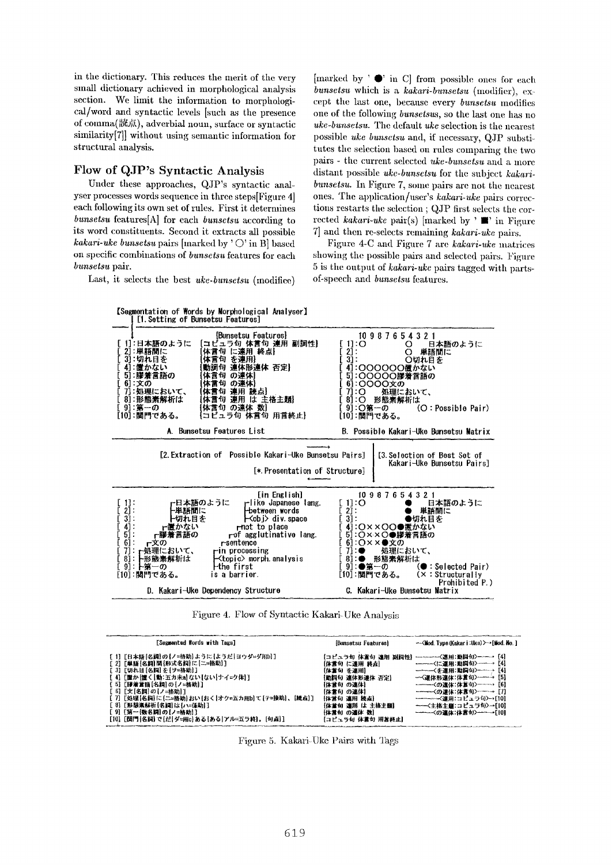in the dictionary. This reduces the merit of the very small dictionary achieved in morphological analysis section. We limit the information to morphological/word and syntactic levels [such as the presence of comma(読点), adverbial noun, surface or syntactic similarity[7]] without using semantic information for structural analysis.

# Flow of QJP's Syntactic Analysis

Under these approaches, QJP's syntactic aataiyser processes words sequence in three steps[Figure 4] each following its own set of rules. First it determines *bunsetsu* fcatures[A] for each *bunsctsu* according to its word constituents. Second it extracts all possible *kakari-uke bunsetsu* pairs [marked by ' O' in B] based on specific combinations of *bunsctsu* features for each *bunsetsu* pair.

Last, it selects the best *uke-bunsctsu* (modifice)

[marked by  $'$   $\bullet$  in C] from possible ones for each *bunsetsu* which is a *kakari-bunsctsu* (modifier), except tim last one, because every *bunsetsu* modifies one of the following *bunsctsus,* so the last one has no *uke-bunsetsu.* Thc default *uke* selection is the nearest possible *uke bunsetsu* and, if necessary, QJP substitutes the selection based on rules comparing the two pairs - the currcnt selected *ukc-bunsetsu* and a more distant possible *uke-bunsetsu* for thc subject *kakaribunsetsu.* In Figure 7, some pairs are not the nearest ones. The application/user's *kakari-uke* pairs corrections restarts the selection ; QJP first selects the corrected *kakari-uke* pair(s) [marked by ' **II'** in Figure 7] and then re-selects remaining *kakari-ukc* pairs.

Figure 4-C and Figure 7 are *kakari-uke* matrices showing the possible pairs and selected pairs. Figure 5 is the output of *kakari-ukc* pairs tagged with partsof-speech and *bunsctsu* features.



Figure 4. Flow of Syntactic Kakari-Uke Analysis

| [Segmented Words with Tags]                                                                                                                                                                                                                                                                                                  | [Bunsetsu Features]                                                                                                                        | -- <mod. (kakar="" :uke)="" турв="" і="">→ [Mod. No. ]</mod.>                                                                                                  |
|------------------------------------------------------------------------------------------------------------------------------------------------------------------------------------------------------------------------------------------------------------------------------------------------------------------------------|--------------------------------------------------------------------------------------------------------------------------------------------|----------------------------------------------------------------------------------------------------------------------------------------------------------------|
| [1][日本語[名祠]の【ノ≈格助】ように【ようだ】ヨウダ≃ダ用b〕]<br>[ 2] [単語[名詞]間{形式名詞]に[二=格助]]<br>[ 3] [切れ目[名綱]を{ヲ=格助]]<br>【 4】[置か[置く]動:五カ未a]ない[ない]ナイ=ク体]]<br>【 5】【膠蒲営語[名詞]の{ノ=格助}]<br>[ 6][文[名詞]の[ノ≃格助]1<br>[ 7][処理[名詞]に[ニ≃格助]おい[おく]オク=五カ用b]て[テ=接助]、[読点]]<br>[ 8][形態素解析[名詞]は[ハ=係助]]<br>[9][第一{数名詞}の[ノ=格助]]<br>[10] [関門[名詞] で[だ]ダ≈用c]ある{ある アル≈五ラ終]。[句点]] | 【体言句 に連用 終点】<br>【体言句 を連用】<br>【勤詞句 連体形連体 否定】<br>【体営句 の連体】<br>【体言句 の連休】<br>【体営句 連用 挑点】<br>【体意句 連用 は 主格主題】<br>【体言句 の連体 数】<br>【コピュラ句 体言句 用言終止】 | 【コピュラ句 体変句 連用 副詞性】-------〈進用:動詞句〉----- [4]<br>-----<に連用:動詞句>----→ [4]<br>----------<本連用:動詞句>------→ [4]<br>――<主格主題:コピュラ句>→[10]<br>--------<の連体:体言句>-------[10] |

Figure 5. Kakari-Uke Pairs with Tags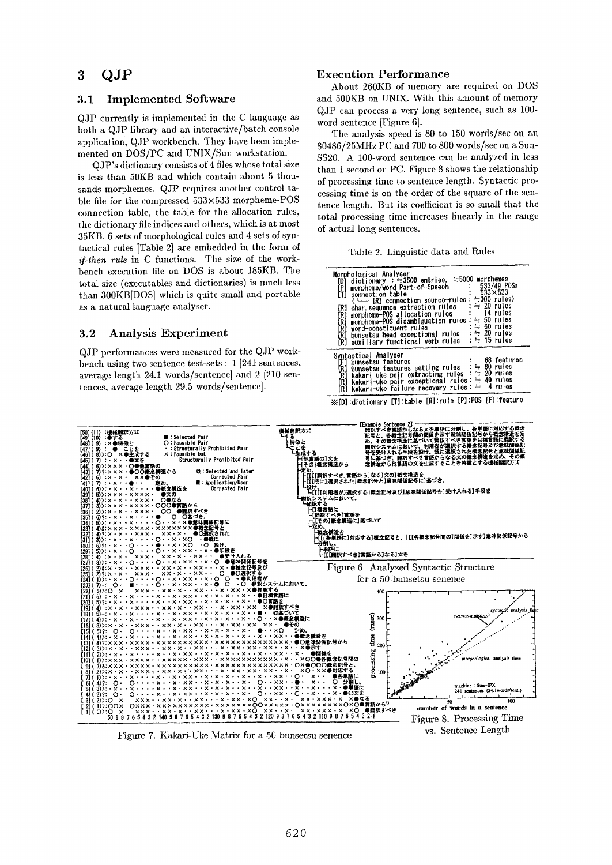# **3 QJP**

## **3.1** Implemented Software

QJP currently is implemented in the C language both a QJP library and an interactive/batch console application, QJP workbench. They have been implemented on DOS/PC and UNIX/Sun workstation.

QJP's dictionary consists of 4 files whose total size is less than 50KB and which contain about 5 thousands morphemes. QJP requires another control table file for the compressed  $533\times533$  morpheme-POS connection table, the table for the allocation rules, the dictionary file indices and others, which is at most 35KB. 6 sets of morphological rules and 4 sets of syntactical rules [Table 2] are embedded in the form of *if-then rule* in C functions. The size of the workbench execution file on DOS is about 185KB. The total size (executables and dictionaries) is much less than 300KB[DOS] which is quite small and portable as a natural language analyser.

# **3.2 Analysis Experiment**

 $QJP$  performances were measured for the  $QJP$  workbench using two sentence test-sets : 1 [24t sentences, average length 24.1 words/sentence] and 2 [210 sentences, average length 29.5 words/sentence].

## Execution Performance

About 260KB of memory are required on DOS and 500KB on UNIX. With this amount of memory QJP can process a very long sentence, such az 100 word sentence [Figure 6].

The analysis speed is 80 to 150 words/see on an 80486/25~IHz PC and 700 to 800 words/see on a Sun-SS20. A 100-word sentence can be analyzed in less than 1 second on PC. Figure 8 shows the relationship of processing time to sentence length. Syntactic processing time is on the order of the square of the sentence length. But its coefficient is so small that the total processing time increases linearly in the range of actual long sentences.

Table 2. Linguistic data and Rules

| Morphological Analyser<br>dictionary : $=3500$ entries, $=5000$ morphemes<br>[D]<br>533/49 POSs<br>[P]<br>morpheme/word Part-of-Speech<br>$533 \times 533$<br>connection table<br>(└─ [R] connection source-rules: ≒300 rules)<br>$= 20$ rules<br>char sequence extraction rules<br>[R]<br>14 rules<br>morpheme-POS allocation rules<br>א<br>נאי<br>ג<br>morpheme-POS disambiguation rules $\div$ 50 rules<br>$\approx$ 60 rules<br>word-constituent rules<br>:≒ 20 rules<br>bunsetsu head exceptional rules<br>RĮ<br>:≒ 15 rules<br>auxiliary functional verb rules<br>FR 1 |
|------------------------------------------------------------------------------------------------------------------------------------------------------------------------------------------------------------------------------------------------------------------------------------------------------------------------------------------------------------------------------------------------------------------------------------------------------------------------------------------------------------------------------------------------------------------------------|
| Syntactical Analyser<br>68 features<br>Ŧ1<br>bunsetsu features<br>bunsetsu features setting rules : = 80 rules<br>kakari-uke pair extracting rules : = 20 rules<br>R]<br>$\frac{R}{R}$<br>kakari-uke pair exceptional rules : = 40 rules<br>kakari-uke failure recovery rules: = 4 rules<br>R1                                                                                                                                                                                                                                                                               |